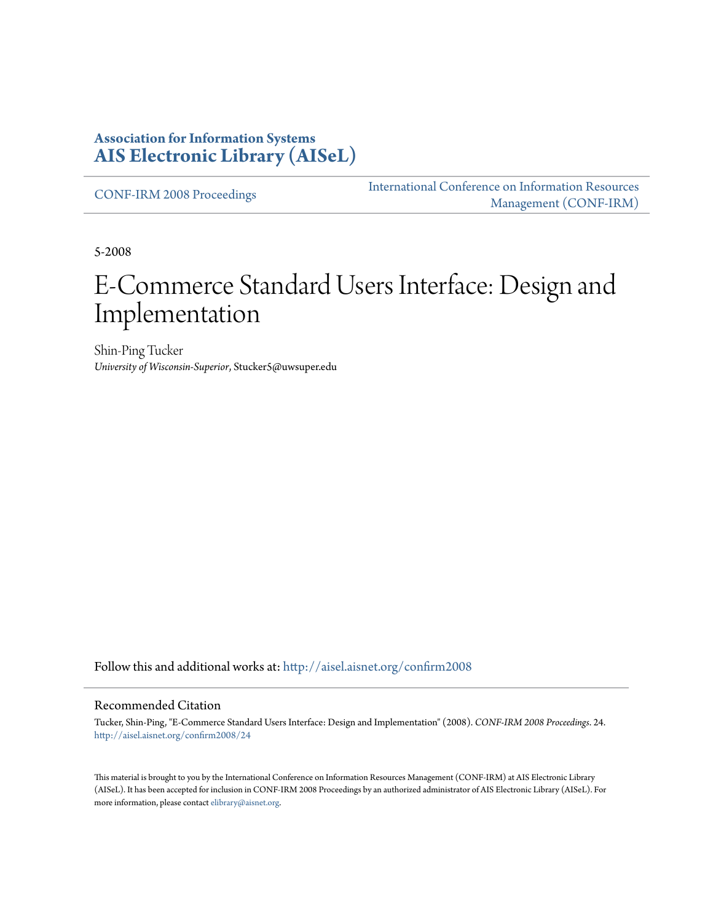#### **Association for Information Systems [AIS Electronic Library \(AISeL\)](http://aisel.aisnet.org?utm_source=aisel.aisnet.org%2Fconfirm2008%2F24&utm_medium=PDF&utm_campaign=PDFCoverPages)**

[CONF-IRM 2008 Proceedings](http://aisel.aisnet.org/confirm2008?utm_source=aisel.aisnet.org%2Fconfirm2008%2F24&utm_medium=PDF&utm_campaign=PDFCoverPages)

[International Conference on Information Resources](http://aisel.aisnet.org/conf-irm?utm_source=aisel.aisnet.org%2Fconfirm2008%2F24&utm_medium=PDF&utm_campaign=PDFCoverPages) [Management \(CONF-IRM\)](http://aisel.aisnet.org/conf-irm?utm_source=aisel.aisnet.org%2Fconfirm2008%2F24&utm_medium=PDF&utm_campaign=PDFCoverPages)

5-2008

# E-Commerce Standard Users Interface: Design and Implementation

Shin-Ping Tucker *University of Wisconsin-Superior*, Stucker5@uwsuper.edu

Follow this and additional works at: [http://aisel.aisnet.org/confirm2008](http://aisel.aisnet.org/confirm2008?utm_source=aisel.aisnet.org%2Fconfirm2008%2F24&utm_medium=PDF&utm_campaign=PDFCoverPages)

#### Recommended Citation

Tucker, Shin-Ping, "E-Commerce Standard Users Interface: Design and Implementation" (2008). *CONF-IRM 2008 Proceedings*. 24. [http://aisel.aisnet.org/confirm2008/24](http://aisel.aisnet.org/confirm2008/24?utm_source=aisel.aisnet.org%2Fconfirm2008%2F24&utm_medium=PDF&utm_campaign=PDFCoverPages)

This material is brought to you by the International Conference on Information Resources Management (CONF-IRM) at AIS Electronic Library (AISeL). It has been accepted for inclusion in CONF-IRM 2008 Proceedings by an authorized administrator of AIS Electronic Library (AISeL). For more information, please contact [elibrary@aisnet.org.](mailto:elibrary@aisnet.org%3E)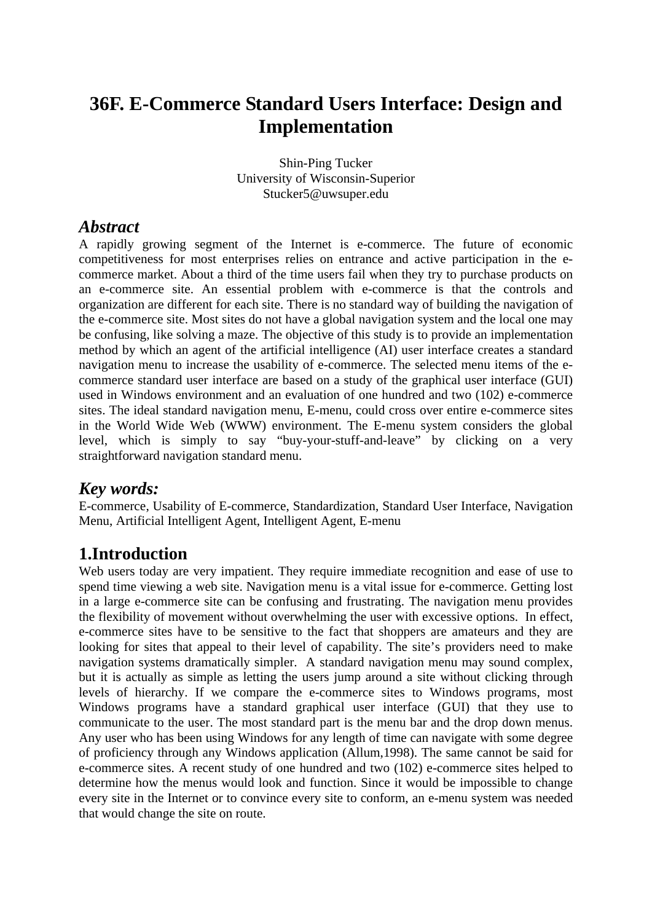# **36F. E-Commerce Standard Users Interface: Design and Implementation**

Shin-Ping Tucker University of Wisconsin-Superior Stucker5@uwsuper.edu

#### *Abstract*

A rapidly growing segment of the Internet is e-commerce. The future of economic competitiveness for most enterprises relies on entrance and active participation in the ecommerce market. About a third of the time users fail when they try to purchase products on an e-commerce site. An essential problem with e-commerce is that the controls and organization are different for each site. There is no standard way of building the navigation of the e-commerce site. Most sites do not have a global navigation system and the local one may be confusing, like solving a maze. The objective of this study is to provide an implementation method by which an agent of the artificial intelligence (AI) user interface creates a standard navigation menu to increase the usability of e-commerce. The selected menu items of the ecommerce standard user interface are based on a study of the graphical user interface (GUI) used in Windows environment and an evaluation of one hundred and two (102) e-commerce sites. The ideal standard navigation menu, E-menu, could cross over entire e-commerce sites in the World Wide Web (WWW) environment. The E-menu system considers the global level, which is simply to say "buy-your-stuff-and-leave" by clicking on a very straightforward navigation standard menu.

## *Key words:*

E-commerce, Usability of E-commerce, Standardization, Standard User Interface, Navigation Menu, Artificial Intelligent Agent, Intelligent Agent, E-menu

## **1.Introduction**

Web users today are very impatient. They require immediate recognition and ease of use to spend time viewing a web site. Navigation menu is a vital issue for e-commerce. Getting lost in a large e-commerce site can be confusing and frustrating. The navigation menu provides the flexibility of movement without overwhelming the user with excessive options. In effect, e-commerce sites have to be sensitive to the fact that shoppers are amateurs and they are looking for sites that appeal to their level of capability. The site's providers need to make navigation systems dramatically simpler. A standard navigation menu may sound complex, but it is actually as simple as letting the users jump around a site without clicking through levels of hierarchy. If we compare the e-commerce sites to Windows programs, most Windows programs have a standard graphical user interface (GUI) that they use to communicate to the user. The most standard part is the menu bar and the drop down menus. Any user who has been using Windows for any length of time can navigate with some degree of proficiency through any Windows application (Allum,1998). The same cannot be said for e-commerce sites. A recent study of one hundred and two (102) e-commerce sites helped to determine how the menus would look and function. Since it would be impossible to change every site in the Internet or to convince every site to conform, an e-menu system was needed that would change the site on route.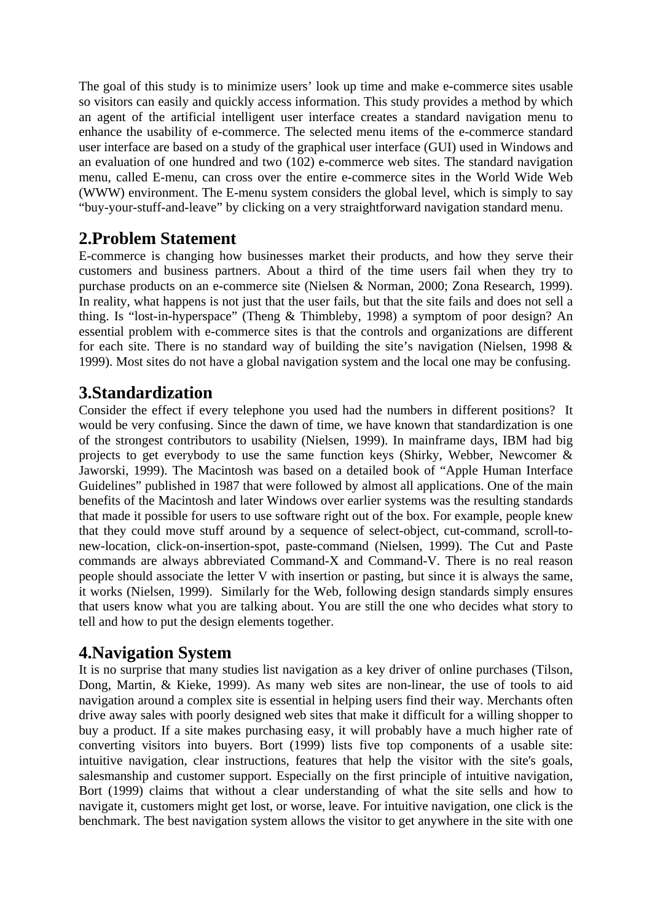The goal of this study is to minimize users' look up time and make e-commerce sites usable so visitors can easily and quickly access information. This study provides a method by which an agent of the artificial intelligent user interface creates a standard navigation menu to enhance the usability of e-commerce. The selected menu items of the e-commerce standard user interface are based on a study of the graphical user interface (GUI) used in Windows and an evaluation of one hundred and two (102) e-commerce web sites. The standard navigation menu, called E-menu, can cross over the entire e-commerce sites in the World Wide Web (WWW) environment. The E-menu system considers the global level, which is simply to say "buy-your-stuff-and-leave" by clicking on a very straightforward navigation standard menu.

# **2.Problem Statement**

E-commerce is changing how businesses market their products, and how they serve their customers and business partners. About a third of the time users fail when they try to purchase products on an e-commerce site (Nielsen & Norman, 2000; Zona Research, 1999). In reality, what happens is not just that the user fails, but that the site fails and does not sell a thing. Is "lost-in-hyperspace" (Theng & Thimbleby, 1998) a symptom of poor design? An essential problem with e-commerce sites is that the controls and organizations are different for each site. There is no standard way of building the site's navigation (Nielsen, 1998 & 1999). Most sites do not have a global navigation system and the local one may be confusing.

# **3.Standardization**

Consider the effect if every telephone you used had the numbers in different positions? It would be very confusing. Since the dawn of time, we have known that standardization is one of the strongest contributors to usability (Nielsen, 1999). In mainframe days, IBM had big projects to get everybody to use the same function keys (Shirky, Webber, Newcomer & Jaworski, 1999). The Macintosh was based on a detailed book of "Apple Human Interface Guidelines" published in 1987 that were followed by almost all applications. One of the main benefits of the Macintosh and later Windows over earlier systems was the resulting standards that made it possible for users to use software right out of the box. For example, people knew that they could move stuff around by a sequence of select-object, cut-command, scroll-tonew-location, click-on-insertion-spot, paste-command (Nielsen, 1999). The Cut and Paste commands are always abbreviated Command-X and Command-V. There is no real reason people should associate the letter V with insertion or pasting, but since it is always the same, it works (Nielsen, 1999). Similarly for the Web, following design standards simply ensures that users know what you are talking about. You are still the one who decides what story to tell and how to put the design elements together.

## **4.Navigation System**

It is no surprise that many studies list navigation as a key driver of online purchases (Tilson, Dong, Martin, & Kieke, 1999). As many web sites are non-linear, the use of tools to aid navigation around a complex site is essential in helping users find their way. Merchants often drive away sales with poorly designed web sites that make it difficult for a willing shopper to buy a product. If a site makes purchasing easy, it will probably have a much higher rate of converting visitors into buyers. Bort (1999) lists five top components of a usable site: intuitive navigation, clear instructions, features that help the visitor with the site's goals, salesmanship and customer support. Especially on the first principle of intuitive navigation, Bort (1999) claims that without a clear understanding of what the site sells and how to navigate it, customers might get lost, or worse, leave. For intuitive navigation, one click is the benchmark. The best navigation system allows the visitor to get anywhere in the site with one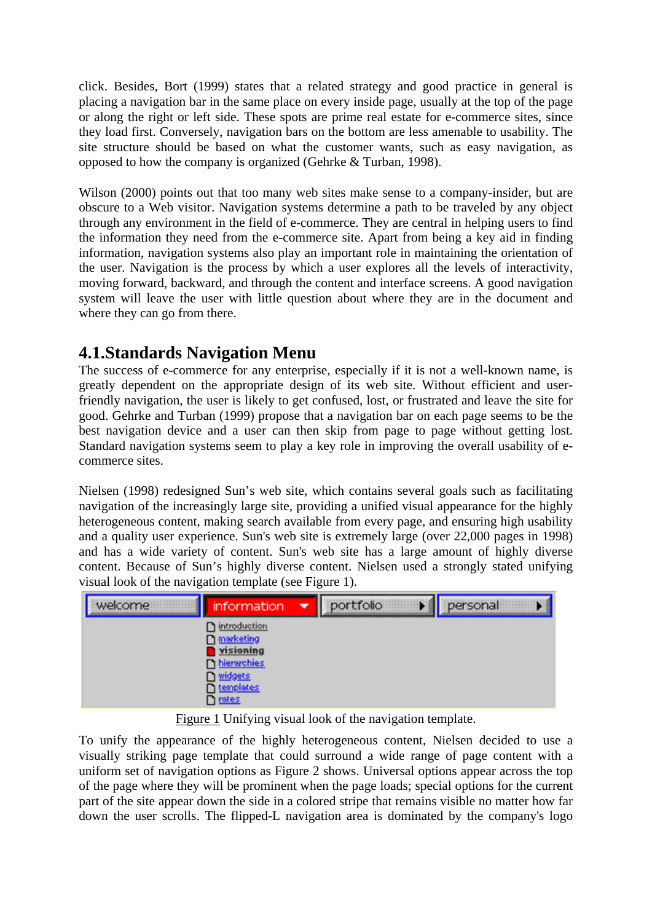click. Besides, Bort (1999) states that a related strategy and good practice in general is placing a navigation bar in the same place on every inside page, usually at the top of the page or along the right or left side. These spots are prime real estate for e-commerce sites, since they load first. Conversely, navigation bars on the bottom are less amenable to usability. The site structure should be based on what the customer wants, such as easy navigation, as opposed to how the company is organized (Gehrke & Turban, 1998).

Wilson (2000) points out that too many web sites make sense to a company-insider, but are obscure to a Web visitor. Navigation systems determine a path to be traveled by any object through any environment in the field of e-commerce. They are central in helping users to find the information they need from the e-commerce site. Apart from being a key aid in finding information, navigation systems also play an important role in maintaining the orientation of the user. Navigation is the process by which a user explores all the levels of interactivity, moving forward, backward, and through the content and interface screens. A good navigation system will leave the user with little question about where they are in the document and where they can go from there.

# **4.1.Standards Navigation Menu**

The success of e-commerce for any enterprise, especially if it is not a well-known name, is greatly dependent on the appropriate design of its web site. Without efficient and userfriendly navigation, the user is likely to get confused, lost, or frustrated and leave the site for good. Gehrke and Turban (1999) propose that a navigation bar on each page seems to be the best navigation device and a user can then skip from page to page without getting lost. Standard navigation systems seem to play a key role in improving the overall usability of ecommerce sites.

Nielsen (1998) redesigned Sun's web site, which contains several goals such as facilitating navigation of the increasingly large site, providing a unified visual appearance for the highly heterogeneous content, making search available from every page, and ensuring high usability and a quality user experience. Sun's web site is extremely large (over 22,000 pages in 1998) and has a wide variety of content. Sun's web site has a large amount of highly diverse content. Because of Sun's highly diverse content. Nielsen used a strongly stated unifying visual look of the navigation template (see Figure 1).

| welcome | 'orma                        | ▼ | $n \wedge r + r \wedge n \wedge$<br><br><br>------------------------------- | $n \geq n$<br>---------------------<br>************************<br><br>---------------------------<br>,,,,,,,,,,,,,,,,,,,,,,, |
|---------|------------------------------|---|-----------------------------------------------------------------------------|-------------------------------------------------------------------------------------------------------------------------------|
|         | ---------------------------- |   |                                                                             |                                                                                                                               |
|         |                              |   |                                                                             |                                                                                                                               |

Figure 1 Unifying visual look of the navigation template.

To unify the appearance of the highly heterogeneous content, Nielsen decided to use a visually striking page template that could surround a wide range of page content with a uniform set of navigation options as Figure 2 shows. Universal options appear across the top of the page where they will be prominent when the page loads; special options for the current part of the site appear down the side in a colored stripe that remains visible no matter how far down the user scrolls. The flipped-L navigation area is dominated by the company's logo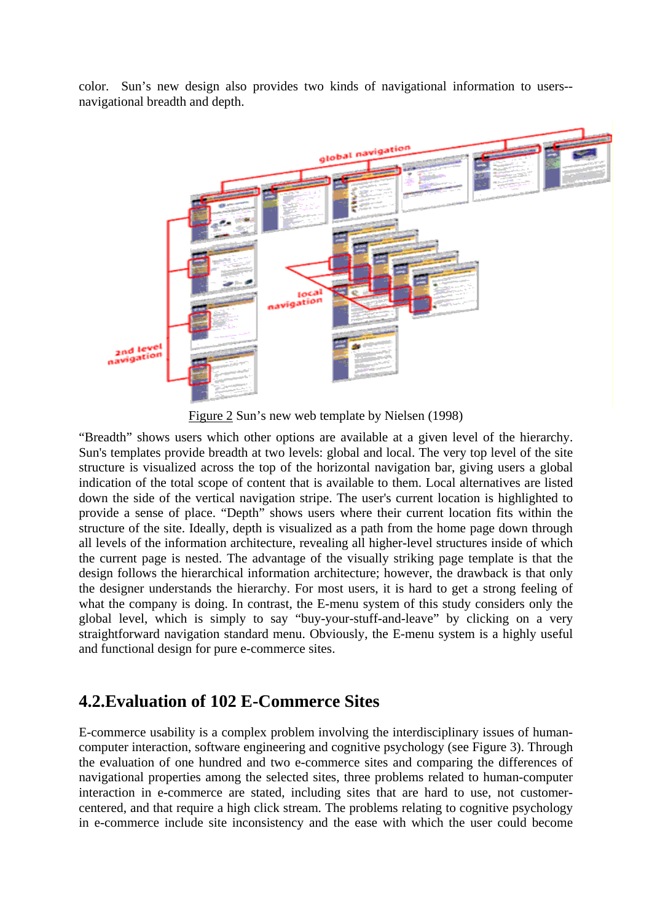color. Sun's new design also provides two kinds of navigational information to users- navigational breadth and depth.



Figure 2 Sun's new web template by Nielsen (1998)

"Breadth" shows users which other options are available at a given level of the hierarchy. Sun's templates provide breadth at two levels: global and local. The very top level of the site structure is visualized across the top of the horizontal navigation bar, giving users a global indication of the total scope of content that is available to them. Local alternatives are listed down the side of the vertical navigation stripe. The user's current location is highlighted to provide a sense of place. "Depth" shows users where their current location fits within the structure of the site. Ideally, depth is visualized as a path from the home page down through all levels of the information architecture, revealing all higher-level structures inside of which the current page is nested. The advantage of the visually striking page template is that the design follows the hierarchical information architecture; however, the drawback is that only the designer understands the hierarchy. For most users, it is hard to get a strong feeling of what the company is doing. In contrast, the E-menu system of this study considers only the global level, which is simply to say "buy-your-stuff-and-leave" by clicking on a very straightforward navigation standard menu. Obviously, the E-menu system is a highly useful and functional design for pure e-commerce sites.

#### **4.2.Evaluation of 102 E-Commerce Sites**

E-commerce usability is a complex problem involving the interdisciplinary issues of humancomputer interaction, software engineering and cognitive psychology (see Figure 3). Through the evaluation of one hundred and two e-commerce sites and comparing the differences of navigational properties among the selected sites, three problems related to human-computer interaction in e-commerce are stated, including sites that are hard to use, not customercentered, and that require a high click stream. The problems relating to cognitive psychology in e-commerce include site inconsistency and the ease with which the user could become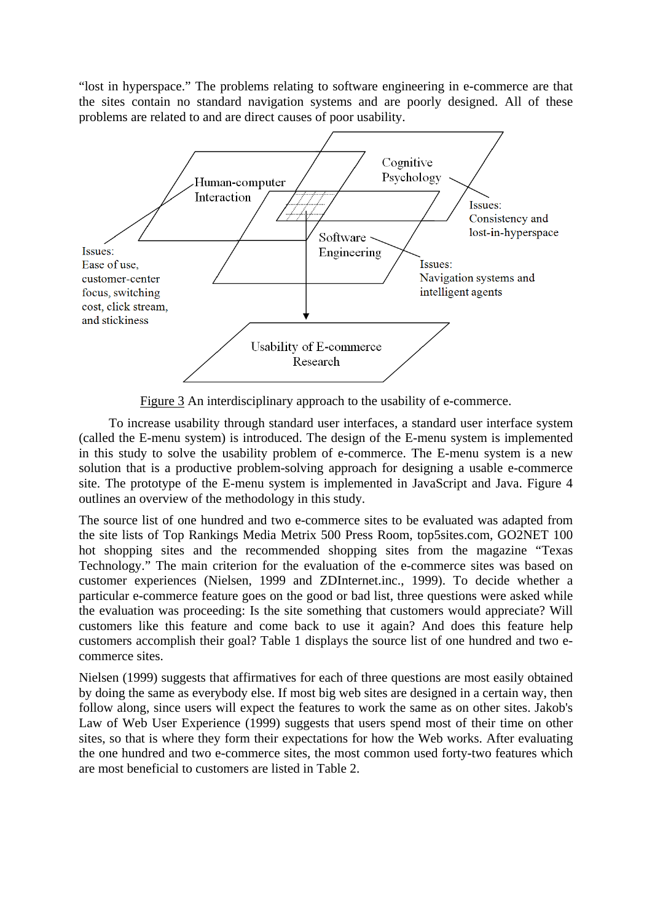"lost in hyperspace." The problems relating to software engineering in e-commerce are that the sites contain no standard navigation systems and are poorly designed. All of these problems are related to and are direct causes of poor usability.



Figure 3 An interdisciplinary approach to the usability of e-commerce.

To increase usability through standard user interfaces, a standard user interface system (called the E-menu system) is introduced. The design of the E-menu system is implemented in this study to solve the usability problem of e-commerce. The E-menu system is a new solution that is a productive problem-solving approach for designing a usable e-commerce site. The prototype of the E-menu system is implemented in JavaScript and Java. Figure 4 outlines an overview of the methodology in this study.

The source list of one hundred and two e-commerce sites to be evaluated was adapted from the site lists of Top Rankings Media Metrix 500 Press Room, top5sites.com, GO2NET 100 hot shopping sites and the recommended shopping sites from the magazine "Texas Technology." The main criterion for the evaluation of the e-commerce sites was based on customer experiences (Nielsen, 1999 and ZDInternet.inc., 1999). To decide whether a particular e-commerce feature goes on the good or bad list, three questions were asked while the evaluation was proceeding: Is the site something that customers would appreciate? Will customers like this feature and come back to use it again? And does this feature help customers accomplish their goal? Table 1 displays the source list of one hundred and two ecommerce sites.

Nielsen (1999) suggests that affirmatives for each of three questions are most easily obtained by doing the same as everybody else. If most big web sites are designed in a certain way, then follow along, since users will expect the features to work the same as on other sites. Jakob's Law of Web User Experience (1999) suggests that users spend most of their time on other sites, so that is where they form their expectations for how the Web works. After evaluating the one hundred and two e-commerce sites, the most common used forty-two features which are most beneficial to customers are listed in Table 2.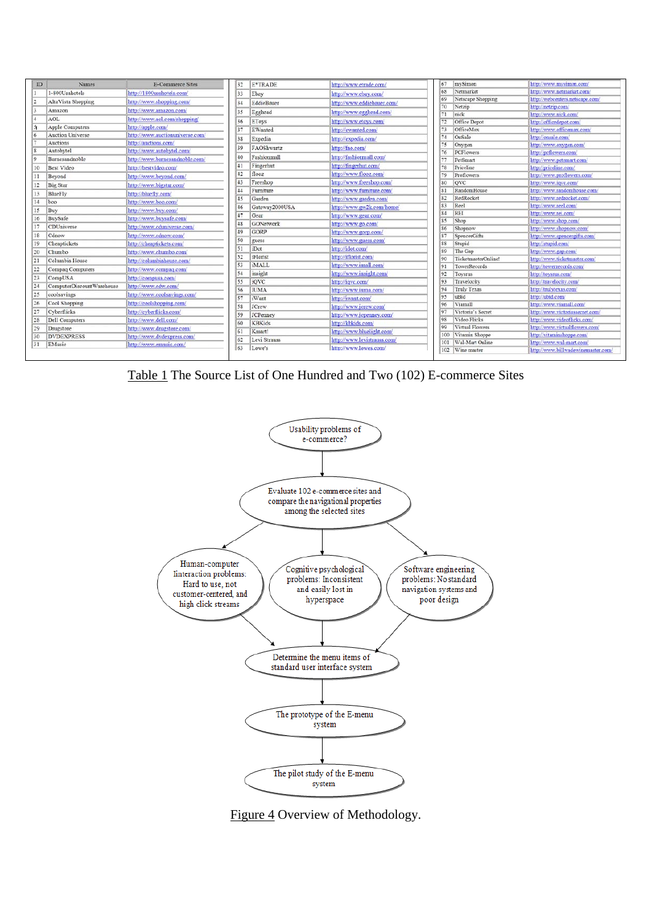| ID             | Names                     | E-Commerce Sites                | 32            | E*TRADE          | http://www.etrade.com/      | 67  | mySimon               | http://www.mysimon.com                            |
|----------------|---------------------------|---------------------------------|---------------|------------------|-----------------------------|-----|-----------------------|---------------------------------------------------|
|                | 1-800Usahotels            | http://1800usahotels.com/       | 33            | Ebay             | http://www.ebay.com/        | 68  | Netmarket             | http://www.netmarket.com/                         |
| $\overline{2}$ | AltaVista Shopping        | http://www.shopping.com/        | 34            | EddieBauer       | http://www.eddiebauer.com/  | 69  | Netscape Shopping     | http://webcenters.netscape.com/                   |
|                | Amazon                    | http://www.amazon.com/          |               | Egghead          | http://www.egghead.com/     | 70  | Netzip                | http://netzip.com/                                |
|                | AOL                       | http://www.aol.com/shopping/    |               |                  |                             | 71  | nick                  | http://www.nick.com/                              |
|                | Apple Computers           | http://apple.com/               | 36            | EToys            | http://www.etoys.com/       |     | Office Depot          | http://officedepot.com                            |
|                | <b>Auction Universe</b>   | http://www.auctionuniverse.com/ |               | EWanted          | http://ewanted.com/         |     | OfficeMax             | http://www.officemax.com/                         |
|                | Auctions                  | http://auctions.com/            |               | Expedia          | http://expedia.com/         |     | OnSale                | http://onsale.com/                                |
|                | Autobytel                 | http://www.autobytel.com/       | 39            | FAOShwartz       | http://fao.com/             |     | Oxygen                | http://www.oxygen.com/                            |
|                | Barnesandnoble            | http://www.barnesandnoble.com/  | 40            | Fashionmall      | http://fashionmall.com/     |     | PCFlowers<br>PetSmart | http://pcflowers.com/<br>http://www.petsmart.com/ |
| 10             | <b>Best Video</b>         |                                 |               | Fingerhut        | http://fingerhut.com/       |     | Priceline             | http://priceline.com/                             |
|                |                           | http://bestvideo.com/           | 42            | flooz            | http://www.flooz.com/       |     | Proflowers            | http://www.proflowers.com/                        |
| 11             | Beyond                    | http://www.beyond.com/          | 43            | Freeshop         | http://www.freeshop.com/    | 80  | <b>QVC</b>            | http://www.iqve.com/                              |
| 12             | <b>Big Star</b>           | http://www.bigstar.com/         | 44            | Furniture        | http://www.furniture.com/   | 81  | RandomHouse           | http://www.randomhouse.com/                       |
| 13             | BlueFly                   | http://bluefly.com/             |               | Garden           |                             | 82  | RedRocket             | http://www.redrocket.com/                         |
| 14             | boo                       | http://www.boo.com/             |               |                  | http://www.garden.com/      | 83  | Reel                  | http://www.reel.com/                              |
| 15             | Buy                       | http://www.buy.com/             |               | Gateway2000USA   | http://www.gw2k.com/home/   | 84  | REI                   | http://www.rei.com/                               |
| 16             | BuySafe                   | http://www.buysafe.com/         |               | Gear             | http://www.gear.com/        | 85  | Shop                  | http://www.shop.com/                              |
| 17             | CDUniverse                | http://www.cduniverse.com/      |               | <b>GONetwork</b> | http://www.go.com/          | 86  | Shopnow               | http://www.shopnow.com/                           |
| 18             | Cdnow                     | http://www.ednow.com/           | 49            | GORP             | http://www.gorp.com/        | 87  | SpencerGifts          | http://www.spencergifts.com/                      |
| 19             | Cheaptickets              | http://cheaptickets.com/        | 50            | guess            | http://www.guess.com/       | 88  | Stupid                | http://stupid.com/                                |
| 20             | Chumbo                    | http://www.chumbo.com/          |               | iDot             | http://idot.com/            | 89  | The Gap               | http://www.gap.com/                               |
| 21             | Columbia House            | http://columbiahouse.com/       | 52            | iFlorist         | http://iflorist.com/        |     | TicketmasterOnline!   | http://www.ticketmaster.com/                      |
|                |                           |                                 | 53            | iMALL            | http://www.imall.com/       | 91  | TowerRecords          | http://towerrecords.com/                          |
| 22             | Compaq Computers          | http://www.compaq.com/          | $\mathcal{A}$ | insight          | http://www.insight.com/     | 92  | Toysrus               | http://toysrus.com                                |
| 23             | CompUSA                   | http://compusa.com/             | 55            | iQVC             | http://iqvc.com/            | 93  | Travelocity           | http://travelocity.com/                           |
| 24             | ComputerDiscountWarehouse | http://www.edw.com/             |               | <b>IUMA</b>      | http://www.iuma.com/        | 94  | <b>Truly Texas</b>    | http://trulytexas.com/                            |
| 25             | coolsavings               | http://www.coolsavings.com/     |               | iWant            | http://iwant.com/           | 95  | uBid                  | http://ubid.com/                                  |
| 26             | Cool Shopping             | http://coolshopping.com/        | 58            | <b>JCrew</b>     | http://www.jerew.com/       | 96  | Viamall               | http://www.viamall.com/                           |
| 27             | Cyberflicks               | http://cyberflicks.com/         | S9            | <b>JCPenney</b>  | http://www.jcpenney.com/    |     | Victoria's Secret     | http://www.victoriassecret.com/                   |
| 28             | Dell Computers            | http://www.dell.com/            |               | <b>KBKids</b>    | http://kbkids.com/          | 98  | Video Flicks          | http://www.videoflicks.com/                       |
| 29             | Drugstore                 | http://www.drugstore.com/       |               |                  |                             | 99  | Virtual Flowers       | http://www.virtualflowers.com/                    |
| 30             | <b>DVDEXPRESS</b>         | http://www.dvdexpress.com/      | 61            | Kmart!           | http://www.bluelight.com/   | 100 | Vitamin Shoppe        | http://vitaminshoppe.com/                         |
| 31             | EMusic                    | http://www.emusic.com/          | 62            | Levi Strauss     | http://www.levistrauss.com/ |     | 101 Wal-Mart Online   | http://www.wal-mart.com/                          |
|                |                           |                                 | 63            | Lowe's           | http://www.lowes.com/       |     | 102 Wine master       | http://www.billwadewinemaster.com/                |
|                |                           |                                 |               |                  |                             |     |                       |                                                   |

Table 1 The Source List of One Hundred and Two (102) E-commerce Sites



Figure 4 Overview of Methodology.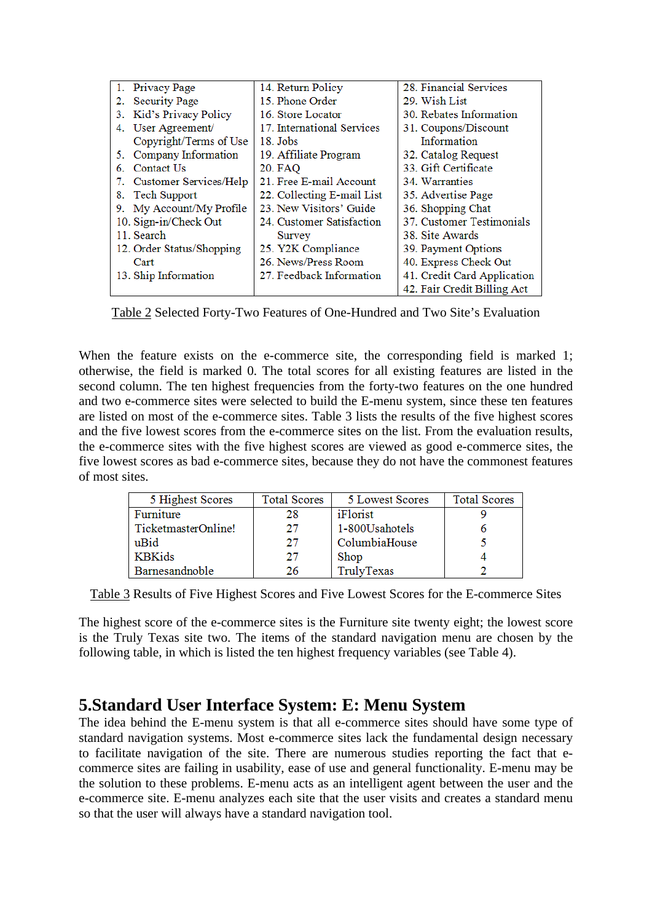| 1. Privacy Page              | 14. Return Policy          | 28. Financial Services      |
|------------------------------|----------------------------|-----------------------------|
| <b>Security Page</b><br>2.   | 15. Phone Order            | 29. Wish List               |
| 3. Kid's Privacy Policy      | 16. Store Locator          | 30. Rebates Information     |
| 4. User Agreement/           | 17. International Services | 31. Coupons/Discount        |
| Copyright/Terms of Use       | 18. Jobs                   | Information                 |
| Company Information<br>5.    | 19. Affiliate Program      | 32. Catalog Request         |
| Contact Us<br>6              | 20. FAQ                    | 33. Gift Certificate        |
| Customer Services/Help<br>7. | 21. Free E-mail Account    | 34. Warranties              |
| 8. Tech Support              | 22. Collecting E-mail List | 35. Advertise Page          |
| 9. My Account/My Profile     | 23. New Visitors' Guide    | 36. Shopping Chat           |
| 10. Sign-in/Check Out        | 24. Customer Satisfaction  | 37. Customer Testimonials   |
| 11. Search                   | Survey                     | 38. Site Awards             |
| 12. Order Status/Shopping    | 25. Y2K Compliance         | 39. Payment Options         |
| Cart                         | 26. News/Press Room        | 40. Express Check Out       |
| 13. Ship Information         | 27. Feedback Information   | 41. Credit Card Application |
|                              |                            | 42. Fair Credit Billing Act |

Table 2 Selected Forty-Two Features of One-Hundred and Two Site's Evaluation

When the feature exists on the e-commerce site, the corresponding field is marked 1; otherwise, the field is marked 0. The total scores for all existing features are listed in the second column. The ten highest frequencies from the forty-two features on the one hundred and two e-commerce sites were selected to build the E-menu system, since these ten features are listed on most of the e-commerce sites. Table 3 lists the results of the five highest scores and the five lowest scores from the e-commerce sites on the list. From the evaluation results, the e-commerce sites with the five highest scores are viewed as good e-commerce sites, the five lowest scores as bad e-commerce sites, because they do not have the commonest features of most sites.

| 5 Highest Scores    | <b>Total Scores</b> | 5 Lowest Scores | <b>Total Scores</b> |
|---------------------|---------------------|-----------------|---------------------|
| Furniture           | 28                  | iFlorist        |                     |
| TicketmasterOnline! | 27                  | 1-800Usahotels  |                     |
| uBid                | 27                  | ColumbiaHouse   |                     |
| <b>KBKids</b>       | 27                  | Shop            |                     |
| Barnesandnoble      | 26                  | TrulyTexas      |                     |

Table 3 Results of Five Highest Scores and Five Lowest Scores for the E-commerce Sites

The highest score of the e-commerce sites is the Furniture site twenty eight; the lowest score is the Truly Texas site two. The items of the standard navigation menu are chosen by the following table, in which is listed the ten highest frequency variables (see Table 4).

# **5.Standard User Interface System: E: Menu System**

The idea behind the E-menu system is that all e-commerce sites should have some type of standard navigation systems. Most e-commerce sites lack the fundamental design necessary to facilitate navigation of the site. There are numerous studies reporting the fact that ecommerce sites are failing in usability, ease of use and general functionality. E-menu may be the solution to these problems. E-menu acts as an intelligent agent between the user and the e-commerce site. E-menu analyzes each site that the user visits and creates a standard menu so that the user will always have a standard navigation tool.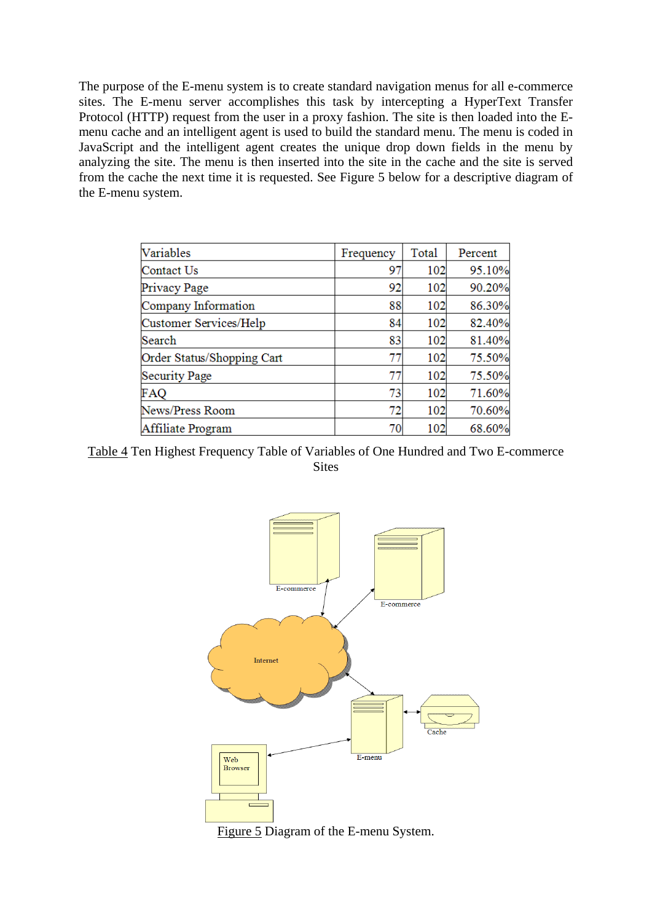The purpose of the E-menu system is to create standard navigation menus for all e-commerce sites. The E-menu server accomplishes this task by intercepting a HyperText Transfer Protocol (HTTP) request from the user in a proxy fashion. The site is then loaded into the Emenu cache and an intelligent agent is used to build the standard menu. The menu is coded in JavaScript and the intelligent agent creates the unique drop down fields in the menu by analyzing the site. The menu is then inserted into the site in the cache and the site is served from the cache the next time it is requested. See Figure 5 below for a descriptive diagram of the E-menu system.

| Variables                  | Frequency | Total | Percent |
|----------------------------|-----------|-------|---------|
| Contact Us                 | 97        | 102   | 95.10%  |
| Privacy Page               | 92        | 102   | 90.20%  |
| Company Information        | 88        | 102   | 86.30%  |
| Customer Services/Help     | 84        | 102   | 82.40%  |
| Search                     | 83        | 102   | 81.40%  |
| Order Status/Shopping Cart | 77        | 102   | 75.50%  |
| Security Page              | 77        | 102   | 75.50%  |
| <b>FAQ</b>                 | 73        | 102   | 71.60%  |
| News/Press Room            | 72        | 102   | 70.60%  |
| Affiliate Program          | 70        | 102   | 68.60%  |

Table 4 Ten Highest Frequency Table of Variables of One Hundred and Two E-commerce **Sites** 



Figure 5 Diagram of the E-menu System.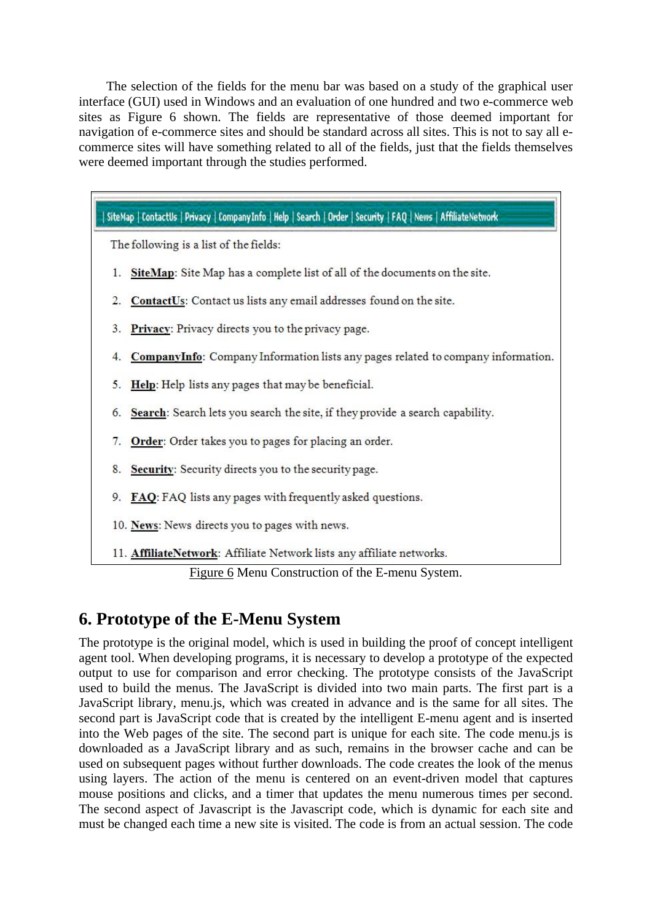The selection of the fields for the menu bar was based on a study of the graphical user interface (GUI) used in Windows and an evaluation of one hundred and two e-commerce web sites as Figure 6 shown. The fields are representative of those deemed important for navigation of e-commerce sites and should be standard across all sites. This is not to say all ecommerce sites will have something related to all of the fields, just that the fields themselves were deemed important through the studies performed.



Figure 6 Menu Construction of the E-menu System.

# **6. Prototype of the E-Menu System**

The prototype is the original model, which is used in building the proof of concept intelligent agent tool. When developing programs, it is necessary to develop a prototype of the expected output to use for comparison and error checking. The prototype consists of the JavaScript used to build the menus. The JavaScript is divided into two main parts. The first part is a JavaScript library, menu.js, which was created in advance and is the same for all sites. The second part is JavaScript code that is created by the intelligent E-menu agent and is inserted into the Web pages of the site. The second part is unique for each site. The code menu.js is downloaded as a JavaScript library and as such, remains in the browser cache and can be used on subsequent pages without further downloads. The code creates the look of the menus using layers. The action of the menu is centered on an event-driven model that captures mouse positions and clicks, and a timer that updates the menu numerous times per second. The second aspect of Javascript is the Javascript code, which is dynamic for each site and must be changed each time a new site is visited. The code is from an actual session. The code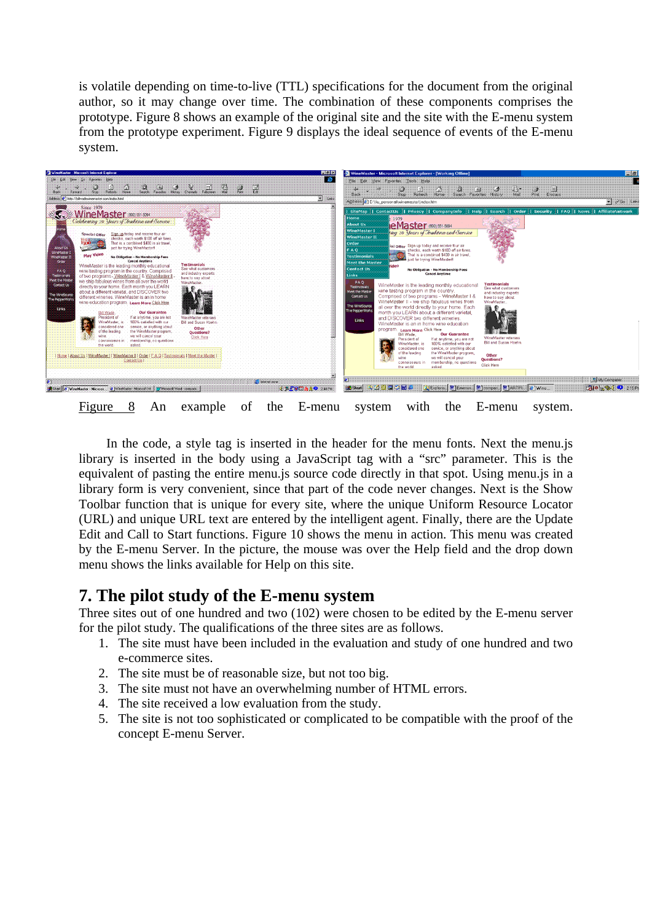is volatile depending on time-to-live (TTL) specifications for the document from the original author, so it may change over time. The combination of these components comprises the prototype. Figure 8 shows an example of the original site and the site with the E-menu system from the prototype experiment. Figure 9 displays the ideal sequence of events of the E-menu system.



In the code, a style tag is inserted in the header for the menu fonts. Next the menu.js library is inserted in the body using a JavaScript tag with a "src" parameter. This is the equivalent of pasting the entire menu.js source code directly in that spot. Using menu.js in a library form is very convenient, since that part of the code never changes. Next is the Show Toolbar function that is unique for every site, where the unique Uniform Resource Locator (URL) and unique URL text are entered by the intelligent agent. Finally, there are the Update Edit and Call to Start functions. Figure 10 shows the menu in action. This menu was created by the E-menu Server. In the picture, the mouse was over the Help field and the drop down menu shows the links available for Help on this site.

#### **7. The pilot study of the E-menu system**

Three sites out of one hundred and two (102) were chosen to be edited by the E-menu server for the pilot study. The qualifications of the three sites are as follows.

- 1. The site must have been included in the evaluation and study of one hundred and two e-commerce sites.
- 2. The site must be of reasonable size, but not too big.
- 3. The site must not have an overwhelming number of HTML errors.
- 4. The site received a low evaluation from the study.
- 5. The site is not too sophisticated or complicated to be compatible with the proof of the concept E-menu Server.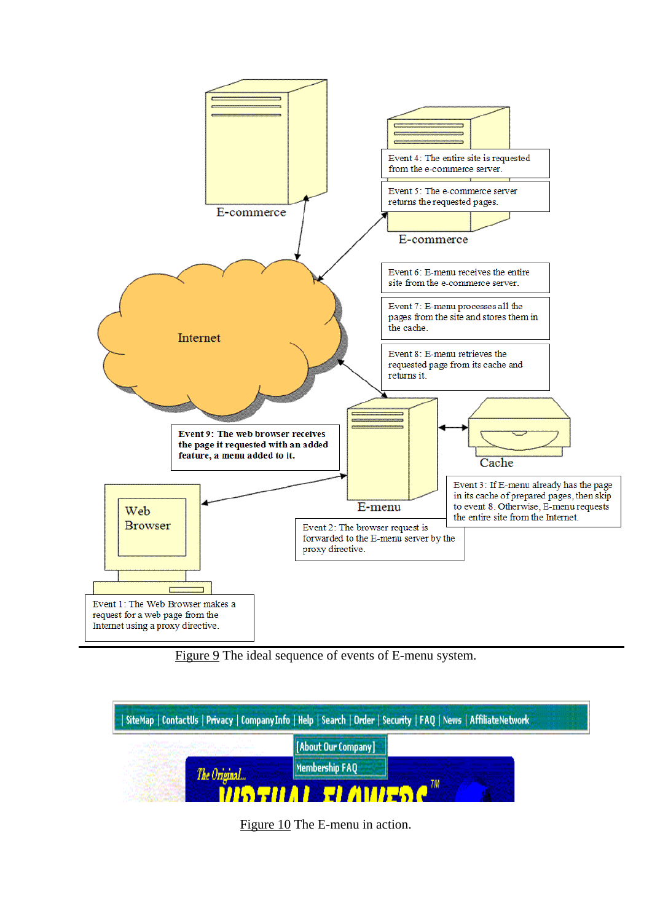

Figure 9 The ideal sequence of events of E-menu system.

| SiteMap   ContactUs   Privacy   CompanyInfo   Help   Search   Order   Security   FAQ   News   AffiliateNetwork |
|----------------------------------------------------------------------------------------------------------------|
| [About Our Company]                                                                                            |
| Membership FAO                                                                                                 |

Figure 10 The E-menu in action.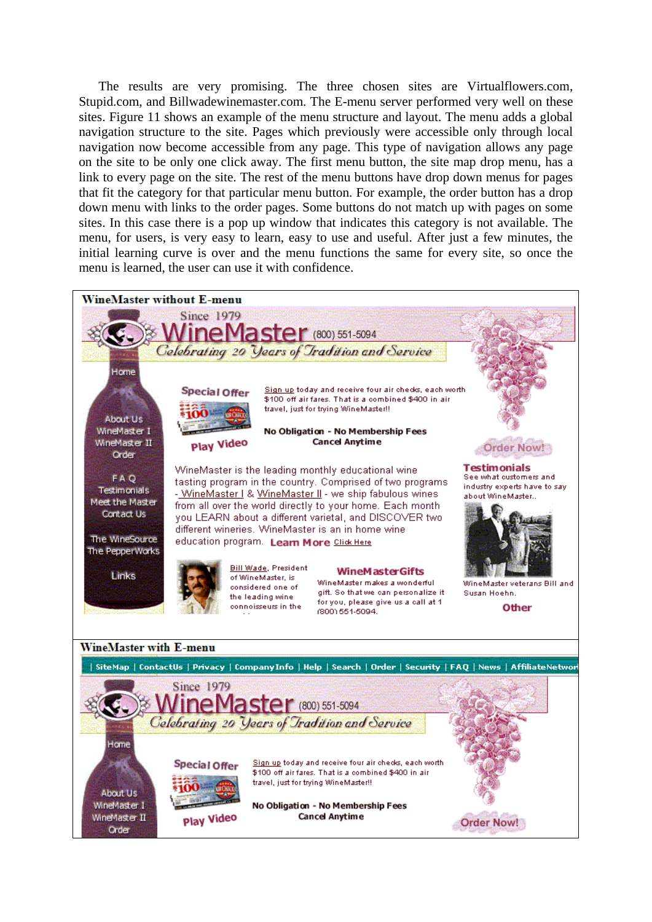The results are very promising. The three chosen sites are Virtualflowers.com, Stupid.com, and Billwadewinemaster.com. The E-menu server performed very well on these sites. Figure 11 shows an example of the menu structure and layout. The menu adds a global navigation structure to the site. Pages which previously were accessible only through local navigation now become accessible from any page. This type of navigation allows any page on the site to be only one click away. The first menu button, the site map drop menu, has a link to every page on the site. The rest of the menu buttons have drop down menus for pages that fit the category for that particular menu button. For example, the order button has a drop down menu with links to the order pages. Some buttons do not match up with pages on some sites. In this case there is a pop up window that indicates this category is not available. The menu, for users, is very easy to learn, easy to use and useful. After just a few minutes, the initial learning curve is over and the menu functions the same for every site, so once the menu is learned, the user can use it with confidence.

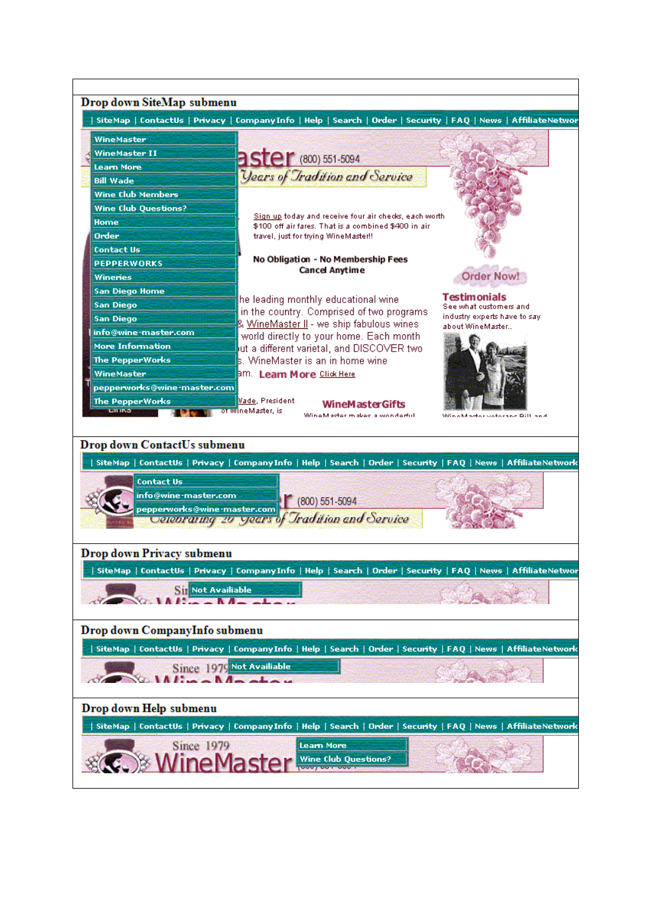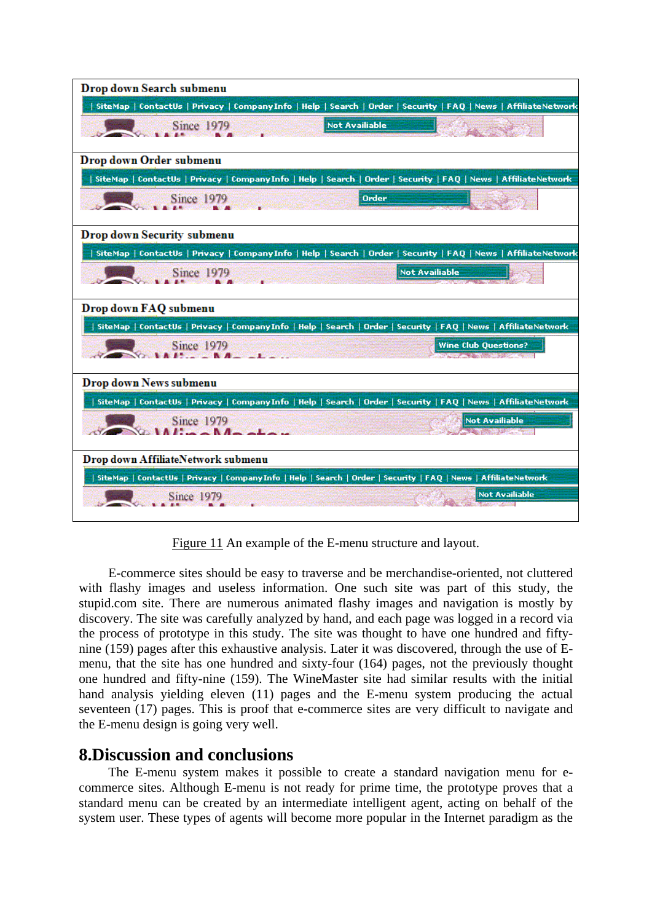

Figure 11 An example of the E-menu structure and layout.

E-commerce sites should be easy to traverse and be merchandise-oriented, not cluttered with flashy images and useless information. One such site was part of this study, the stupid.com site. There are numerous animated flashy images and navigation is mostly by discovery. The site was carefully analyzed by hand, and each page was logged in a record via the process of prototype in this study. The site was thought to have one hundred and fiftynine (159) pages after this exhaustive analysis. Later it was discovered, through the use of Emenu, that the site has one hundred and sixty-four (164) pages, not the previously thought one hundred and fifty-nine (159). The WineMaster site had similar results with the initial hand analysis yielding eleven (11) pages and the E-menu system producing the actual seventeen (17) pages. This is proof that e-commerce sites are very difficult to navigate and the E-menu design is going very well.

#### **8.Discussion and conclusions**

The E-menu system makes it possible to create a standard navigation menu for ecommerce sites. Although E-menu is not ready for prime time, the prototype proves that a standard menu can be created by an intermediate intelligent agent, acting on behalf of the system user. These types of agents will become more popular in the Internet paradigm as the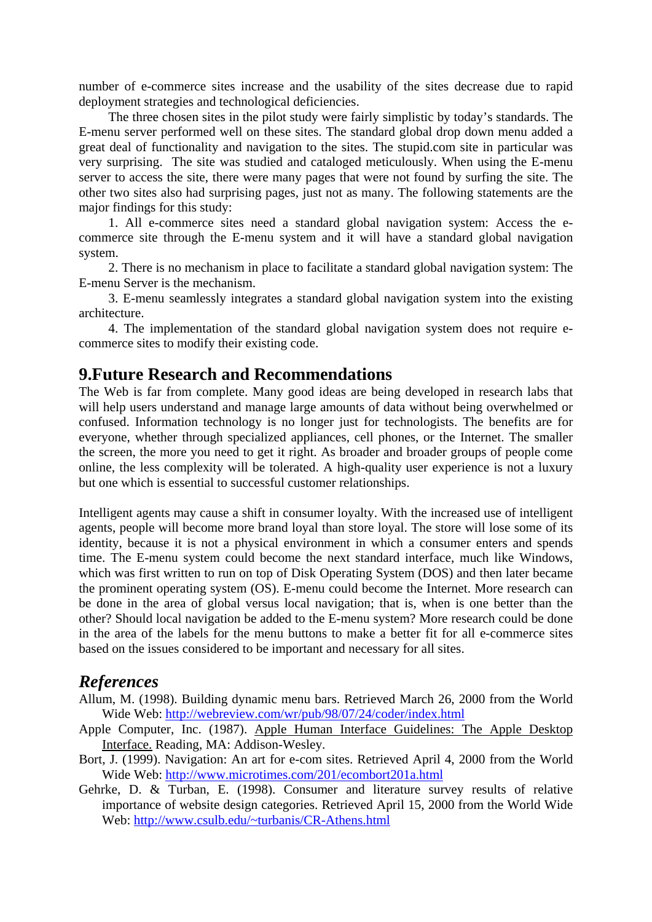number of e-commerce sites increase and the usability of the sites decrease due to rapid deployment strategies and technological deficiencies.

The three chosen sites in the pilot study were fairly simplistic by today's standards. The E-menu server performed well on these sites. The standard global drop down menu added a great deal of functionality and navigation to the sites. The stupid.com site in particular was very surprising. The site was studied and cataloged meticulously. When using the E-menu server to access the site, there were many pages that were not found by surfing the site. The other two sites also had surprising pages, just not as many. The following statements are the major findings for this study:

1. All e-commerce sites need a standard global navigation system: Access the ecommerce site through the E-menu system and it will have a standard global navigation system.

2. There is no mechanism in place to facilitate a standard global navigation system: The E-menu Server is the mechanism.

3. E-menu seamlessly integrates a standard global navigation system into the existing architecture.

4. The implementation of the standard global navigation system does not require ecommerce sites to modify their existing code.

#### **9.Future Research and Recommendations**

The Web is far from complete. Many good ideas are being developed in research labs that will help users understand and manage large amounts of data without being overwhelmed or confused. Information technology is no longer just for technologists. The benefits are for everyone, whether through specialized appliances, cell phones, or the Internet. The smaller the screen, the more you need to get it right. As broader and broader groups of people come online, the less complexity will be tolerated. A high-quality user experience is not a luxury but one which is essential to successful customer relationships.

Intelligent agents may cause a shift in consumer loyalty. With the increased use of intelligent agents, people will become more brand loyal than store loyal. The store will lose some of its identity, because it is not a physical environment in which a consumer enters and spends time. The E-menu system could become the next standard interface, much like Windows, which was first written to run on top of Disk Operating System (DOS) and then later became the prominent operating system (OS). E-menu could become the Internet. More research can be done in the area of global versus local navigation; that is, when is one better than the other? Should local navigation be added to the E-menu system? More research could be done in the area of the labels for the menu buttons to make a better fit for all e-commerce sites based on the issues considered to be important and necessary for all sites.

#### *References*

- Allum, M. (1998). Building dynamic menu bars. Retrieved March 26, 2000 from the World Wide Web: http://webreview.com/wr/pub/98/07/24/coder/index.html
- Apple Computer, Inc. (1987). Apple Human Interface Guidelines: The Apple Desktop Interface. Reading, MA: Addison-Wesley.
- Bort, J. (1999). Navigation: An art for e-com sites. Retrieved April 4, 2000 from the World Wide Web: http://www.microtimes.com/201/ecombort201a.html
- Gehrke, D. & Turban, E. (1998). Consumer and literature survey results of relative importance of website design categories. Retrieved April 15, 2000 from the World Wide Web: http://www.csulb.edu/~turbanis/CR-Athens.html